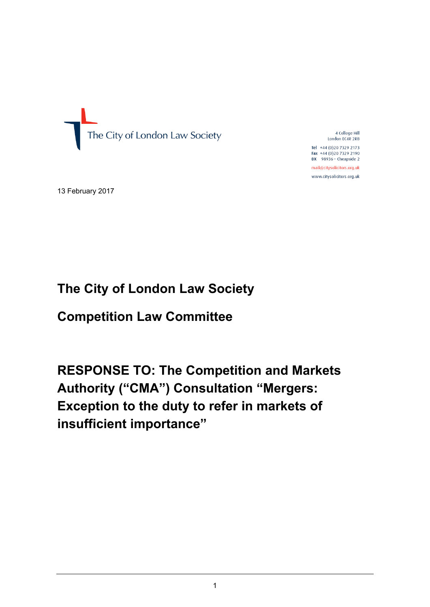

4 College Hill London EC4R 2RB

Tel +44 (0)20 7329 2173 Fax +44 (0)20 7329 2190  $DX$  98936 - Cheapside 2

mail@citysolicitors.org.uk www.citysolicitors.org.uk

13 February 2017

# **The City of London Law Society**

**Competition Law Committee**

**RESPONSE TO: The Competition and Markets Authority ("CMA") Consultation "Mergers: Exception to the duty to refer in markets of insufficient importance"**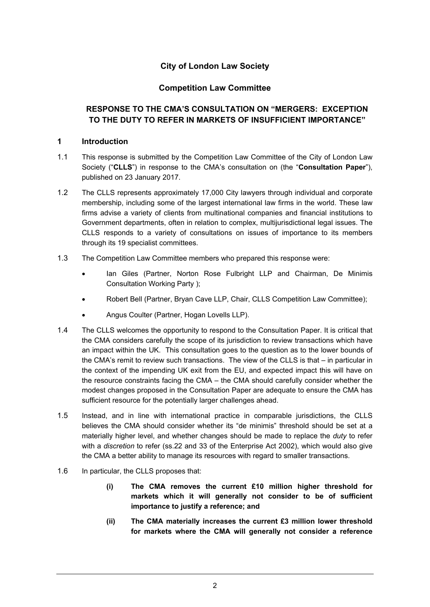# **City of London Law Society**

# **Competition Law Committee**

# **RESPONSE TO THE CMA'S CONSULTATION ON "MERGERS: EXCEPTION TO THE DUTY TO REFER IN MARKETS OF INSUFFICIENT IMPORTANCE"**

### **1 Introduction**

- 1.1 This response is submitted by the Competition Law Committee of the City of London Law Society ("**CLLS**") in response to the CMA's consultation on (the "**Consultation Paper**"), published on 23 January 2017.
- 1.2 The CLLS represents approximately 17,000 City lawyers through individual and corporate membership, including some of the largest international law firms in the world. These law firms advise a variety of clients from multinational companies and financial institutions to Government departments, often in relation to complex, multijurisdictional legal issues. The CLLS responds to a variety of consultations on issues of importance to its members through its 19 specialist committees.
- 1.3 The Competition Law Committee members who prepared this response were:
	- Ian Giles (Partner, Norton Rose Fulbright LLP and Chairman, De Minimis Consultation Working Party );
	- Robert Bell (Partner, Bryan Cave LLP, Chair, CLLS Competition Law Committee);
	- Angus Coulter (Partner, Hogan Lovells LLP).
- 1.4 The CLLS welcomes the opportunity to respond to the Consultation Paper. It is critical that the CMA considers carefully the scope of its jurisdiction to review transactions which have an impact within the UK. This consultation goes to the question as to the lower bounds of the CMA's remit to review such transactions. The view of the CLLS is that – in particular in the context of the impending UK exit from the EU, and expected impact this will have on the resource constraints facing the CMA – the CMA should carefully consider whether the modest changes proposed in the Consultation Paper are adequate to ensure the CMA has sufficient resource for the potentially larger challenges ahead.
- 1.5 Instead, and in line with international practice in comparable jurisdictions, the CLLS believes the CMA should consider whether its "de minimis" threshold should be set at a materially higher level, and whether changes should be made to replace the *duty* to refer with a *discretion* to refer (ss.22 and 33 of the Enterprise Act 2002), which would also give the CMA a better ability to manage its resources with regard to smaller transactions.
- 1.6 In particular, the CLLS proposes that:
	- **(i) The CMA removes the current £10 million higher threshold for markets which it will generally not consider to be of sufficient importance to justify a reference; and**
	- **(ii) The CMA materially increases the current £3 million lower threshold for markets where the CMA will generally not consider a reference**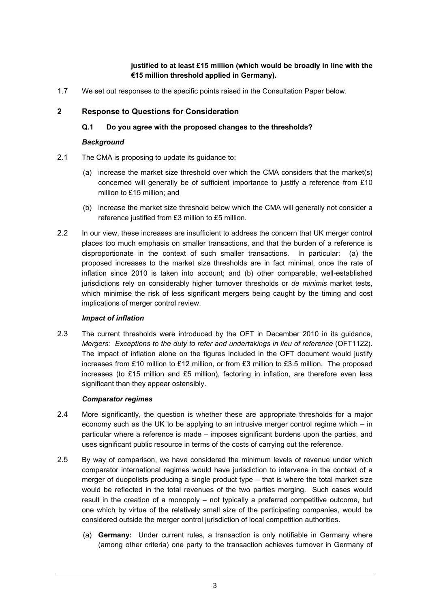## **justified to at least £15 million (which would be broadly in line with the €15 million threshold applied in Germany).**

1.7 We set out responses to the specific points raised in the Consultation Paper below.

# **2 Response to Questions for Consideration**

## **Q.1 Do you agree with the proposed changes to the thresholds?**

#### *Background*

- 2.1 The CMA is proposing to update its guidance to:
	- (a) increase the market size threshold over which the CMA considers that the market(s) concerned will generally be of sufficient importance to justify a reference from £10 million to £15 million; and
	- (b) increase the market size threshold below which the CMA will generally not consider a reference justified from £3 million to £5 million.
- 2.2 In our view, these increases are insufficient to address the concern that UK merger control places too much emphasis on smaller transactions, and that the burden of a reference is disproportionate in the context of such smaller transactions. In particular: (a) the proposed increases to the market size thresholds are in fact minimal, once the rate of inflation since 2010 is taken into account; and (b) other comparable, well-established jurisdictions rely on considerably higher turnover thresholds or *de minimis* market tests, which minimise the risk of less significant mergers being caught by the timing and cost implications of merger control review.

### *Impact of inflation*

2.3 The current thresholds were introduced by the OFT in December 2010 in its guidance, *Mergers: Exceptions to the duty to refer and undertakings in lieu of reference* (OFT1122). The impact of inflation alone on the figures included in the OFT document would justify increases from £10 million to £12 million, or from £3 million to £3.5 million. The proposed increases (to £15 million and £5 million), factoring in inflation, are therefore even less significant than they appear ostensibly.

### *Comparator regimes*

- 2.4 More significantly, the question is whether these are appropriate thresholds for a major economy such as the UK to be applying to an intrusive merger control regime which  $-$  in particular where a reference is made – imposes significant burdens upon the parties, and uses significant public resource in terms of the costs of carrying out the reference.
- 2.5 By way of comparison, we have considered the minimum levels of revenue under which comparator international regimes would have jurisdiction to intervene in the context of a merger of duopolists producing a single product type – that is where the total market size would be reflected in the total revenues of the two parties merging. Such cases would result in the creation of a monopoly – not typically a preferred competitive outcome, but one which by virtue of the relatively small size of the participating companies, would be considered outside the merger control jurisdiction of local competition authorities.
	- (a) **Germany:** Under current rules, a transaction is only notifiable in Germany where (among other criteria) one party to the transaction achieves turnover in Germany of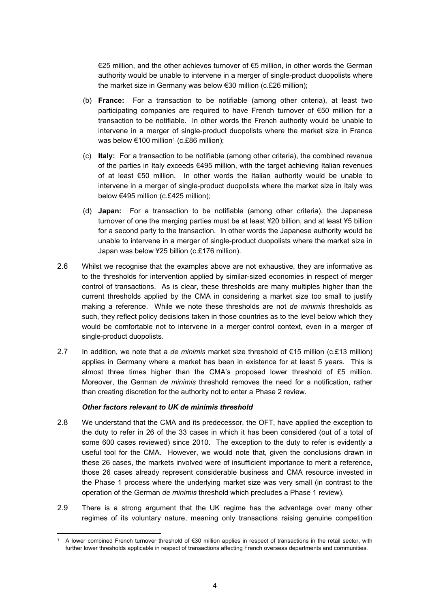€25 million, and the other achieves turnover of €5 million, in other words the German authority would be unable to intervene in a merger of single-product duopolists where the market size in Germany was below €30 million (c.£26 million);

- (b) **France:** For a transaction to be notifiable (among other criteria), at least two participating companies are required to have French turnover of €50 million for a transaction to be notifiable. In other words the French authority would be unable to intervene in a merger of single-product duopolists where the market size in France was below €100 million<sup>1</sup> (c.£86 million);
- (c) **Italy:** For a transaction to be notifiable (among other criteria), the combined revenue of the parties in Italy exceeds €495 million, with the target achieving Italian revenues of at least €50 million. In other words the Italian authority would be unable to intervene in a merger of single-product duopolists where the market size in Italy was below €495 million (c.£425 million);
- (d) **Japan:** For a transaction to be notifiable (among other criteria), the Japanese turnover of one the merging parties must be at least ¥20 billion, and at least ¥5 billion for a second party to the transaction. In other words the Japanese authority would be unable to intervene in a merger of single-product duopolists where the market size in Japan was below ¥25 billion (c.£176 million).
- 2.6 Whilst we recognise that the examples above are not exhaustive, they are informative as to the thresholds for intervention applied by similar-sized economies in respect of merger control of transactions. As is clear, these thresholds are many multiples higher than the current thresholds applied by the CMA in considering a market size too small to justify making a reference. While we note these thresholds are not *de minimis* thresholds as such, they reflect policy decisions taken in those countries as to the level below which they would be comfortable not to intervene in a merger control context, even in a merger of single-product duopolists.
- 2.7 In addition, we note that a *de minimis* market size threshold of €15 million (c.£13 million) applies in Germany where a market has been in existence for at least 5 years. This is almost three times higher than the CMA's proposed lower threshold of £5 million. Moreover, the German *de minimis* threshold removes the need for a notification, rather than creating discretion for the authority not to enter a Phase 2 review.

#### *Other factors relevant to UK de minimis threshold*

- 2.8 We understand that the CMA and its predecessor, the OFT, have applied the exception to the duty to refer in 26 of the 33 cases in which it has been considered (out of a total of some 600 cases reviewed) since 2010. The exception to the duty to refer is evidently a useful tool for the CMA. However, we would note that, given the conclusions drawn in these 26 cases, the markets involved were of insufficient importance to merit a reference, those 26 cases already represent considerable business and CMA resource invested in the Phase 1 process where the underlying market size was very small (in contrast to the operation of the German *de minimis* threshold which precludes a Phase 1 review).
- 2.9 There is a strong argument that the UK regime has the advantage over many other regimes of its voluntary nature, meaning only transactions raising genuine competition

<sup>1</sup> A lower combined French turnover threshold of €30 million applies in respect of transactions in the retail sector, with further lower thresholds applicable in respect of transactions affecting French overseas departments and communities.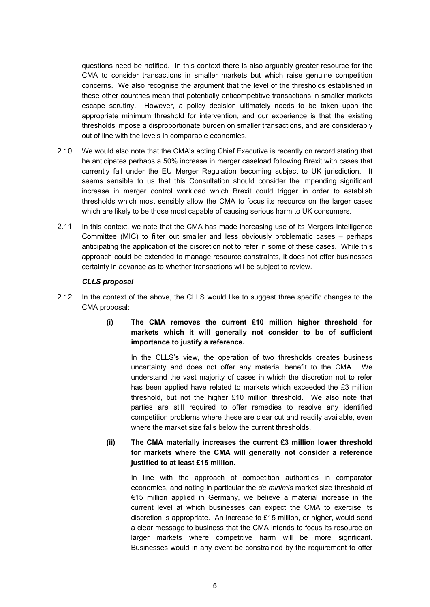questions need be notified. In this context there is also arguably greater resource for the CMA to consider transactions in smaller markets but which raise genuine competition concerns. We also recognise the argument that the level of the thresholds established in these other countries mean that potentially anticompetitive transactions in smaller markets escape scrutiny. However, a policy decision ultimately needs to be taken upon the appropriate minimum threshold for intervention, and our experience is that the existing thresholds impose a disproportionate burden on smaller transactions, and are considerably out of line with the levels in comparable economies.

- 2.10 We would also note that the CMA's acting Chief Executive is recently on record stating that he anticipates perhaps a 50% increase in merger caseload following Brexit with cases that currently fall under the EU Merger Regulation becoming subject to UK jurisdiction. It seems sensible to us that this Consultation should consider the impending significant increase in merger control workload which Brexit could trigger in order to establish thresholds which most sensibly allow the CMA to focus its resource on the larger cases which are likely to be those most capable of causing serious harm to UK consumers.
- 2.11 In this context, we note that the CMA has made increasing use of its Mergers Intelligence Committee (MIC) to filter out smaller and less obviously problematic cases – perhaps anticipating the application of the discretion not to refer in some of these cases. While this approach could be extended to manage resource constraints, it does not offer businesses certainty in advance as to whether transactions will be subject to review.

#### *CLLS proposal*

2.12 In the context of the above, the CLLS would like to suggest three specific changes to the CMA proposal:

## **(i) The CMA removes the current £10 million higher threshold for markets which it will generally not consider to be of sufficient importance to justify a reference.**

In the CLLS's view, the operation of two thresholds creates business uncertainty and does not offer any material benefit to the CMA. We understand the vast majority of cases in which the discretion not to refer has been applied have related to markets which exceeded the £3 million threshold, but not the higher £10 million threshold. We also note that parties are still required to offer remedies to resolve any identified competition problems where these are clear cut and readily available, even where the market size falls below the current thresholds.

### **(ii) The CMA materially increases the current £3 million lower threshold for markets where the CMA will generally not consider a reference justified to at least £15 million.**

In line with the approach of competition authorities in comparator economies, and noting in particular the *de minimis* market size threshold of €15 million applied in Germany, we believe a material increase in the current level at which businesses can expect the CMA to exercise its discretion is appropriate. An increase to £15 million, or higher, would send a clear message to business that the CMA intends to focus its resource on larger markets where competitive harm will be more significant. Businesses would in any event be constrained by the requirement to offer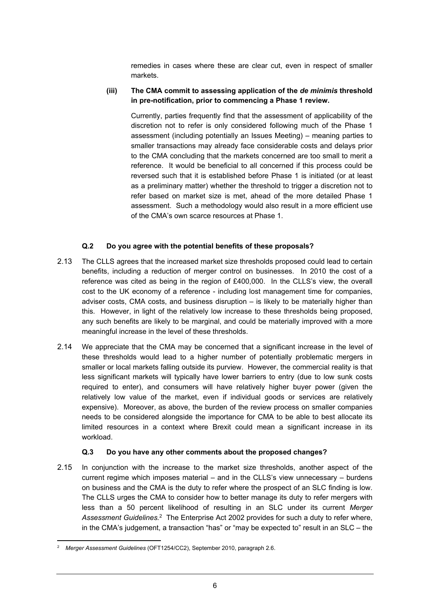remedies in cases where these are clear cut, even in respect of smaller markets.

#### **(iii) The CMA commit to assessing application of the** *de minimis* **threshold in pre-notification, prior to commencing a Phase 1 review.**

Currently, parties frequently find that the assessment of applicability of the discretion not to refer is only considered following much of the Phase 1 assessment (including potentially an Issues Meeting) – meaning parties to smaller transactions may already face considerable costs and delays prior to the CMA concluding that the markets concerned are too small to merit a reference. It would be beneficial to all concerned if this process could be reversed such that it is established before Phase 1 is initiated (or at least as a preliminary matter) whether the threshold to trigger a discretion not to refer based on market size is met, ahead of the more detailed Phase 1 assessment. Such a methodology would also result in a more efficient use of the CMA's own scarce resources at Phase 1.

### **Q.2 Do you agree with the potential benefits of these proposals?**

- 2.13 The CLLS agrees that the increased market size thresholds proposed could lead to certain benefits, including a reduction of merger control on businesses. In 2010 the cost of a reference was cited as being in the region of £400,000. In the CLLS's view, the overall cost to the UK economy of a reference - including lost management time for companies, adviser costs, CMA costs, and business disruption – is likely to be materially higher than this. However, in light of the relatively low increase to these thresholds being proposed, any such benefits are likely to be marginal, and could be materially improved with a more meaningful increase in the level of these thresholds.
- 2.14 We appreciate that the CMA may be concerned that a significant increase in the level of these thresholds would lead to a higher number of potentially problematic mergers in smaller or local markets falling outside its purview. However, the commercial reality is that less significant markets will typically have lower barriers to entry (due to low sunk costs required to enter), and consumers will have relatively higher buyer power (given the relatively low value of the market, even if individual goods or services are relatively expensive). Moreover, as above, the burden of the review process on smaller companies needs to be considered alongside the importance for CMA to be able to best allocate its limited resources in a context where Brexit could mean a significant increase in its workload.

#### **Q.3 Do you have any other comments about the proposed changes?**

2.15 In conjunction with the increase to the market size thresholds, another aspect of the current regime which imposes material – and in the CLLS's view unnecessary – burdens on business and the CMA is the duty to refer where the prospect of an SLC finding is low. The CLLS urges the CMA to consider how to better manage its duty to refer mergers with less than a 50 percent likelihood of resulting in an SLC under its current *Merger* Assessment Guidelines.<sup>2</sup> The Enterprise Act 2002 provides for such a duty to refer where, in the CMA's judgement, a transaction "has" or "may be expected to" result in an SLC – the

<sup>2</sup> *Merger Assessment Guidelines* (OFT1254/CC2), September 2010, paragraph 2.6.